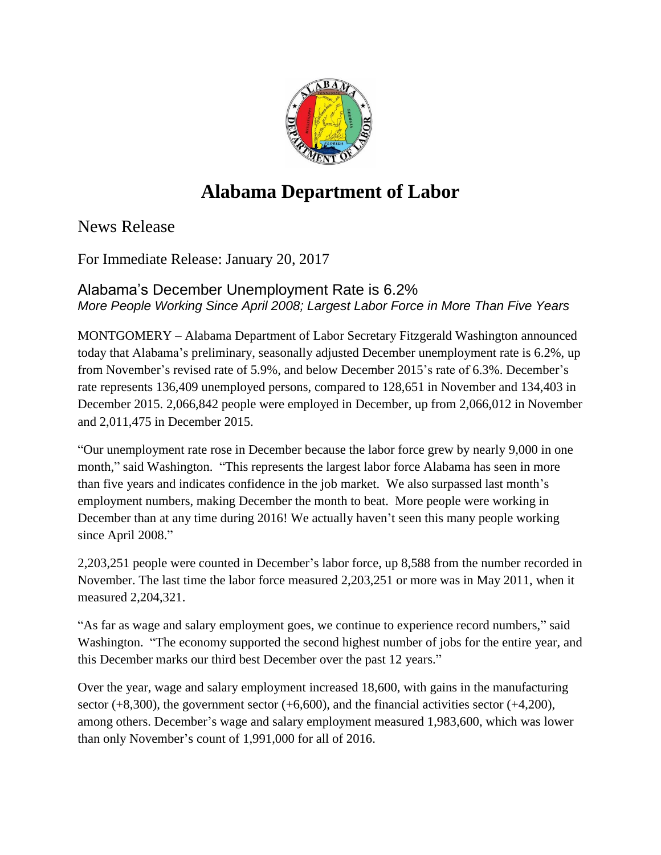

## **Alabama Department of Labor**

News Release

For Immediate Release: January 20, 2017

Alabama's December Unemployment Rate is 6.2% *More People Working Since April 2008; Largest Labor Force in More Than Five Years*

MONTGOMERY – Alabama Department of Labor Secretary Fitzgerald Washington announced today that Alabama's preliminary, seasonally adjusted December unemployment rate is 6.2%, up from November's revised rate of 5.9%, and below December 2015's rate of 6.3%. December's rate represents 136,409 unemployed persons, compared to 128,651 in November and 134,403 in December 2015. 2,066,842 people were employed in December, up from 2,066,012 in November and 2,011,475 in December 2015.

"Our unemployment rate rose in December because the labor force grew by nearly 9,000 in one month," said Washington. "This represents the largest labor force Alabama has seen in more than five years and indicates confidence in the job market. We also surpassed last month's employment numbers, making December the month to beat. More people were working in December than at any time during 2016! We actually haven't seen this many people working since April 2008."

2,203,251 people were counted in December's labor force, up 8,588 from the number recorded in November. The last time the labor force measured 2,203,251 or more was in May 2011, when it measured 2,204,321.

"As far as wage and salary employment goes, we continue to experience record numbers," said Washington. "The economy supported the second highest number of jobs for the entire year, and this December marks our third best December over the past 12 years."

Over the year, wage and salary employment increased 18,600, with gains in the manufacturing sector  $(+8,300)$ , the government sector  $(+6,600)$ , and the financial activities sector  $(+4,200)$ , among others. December's wage and salary employment measured 1,983,600, which was lower than only November's count of 1,991,000 for all of 2016.